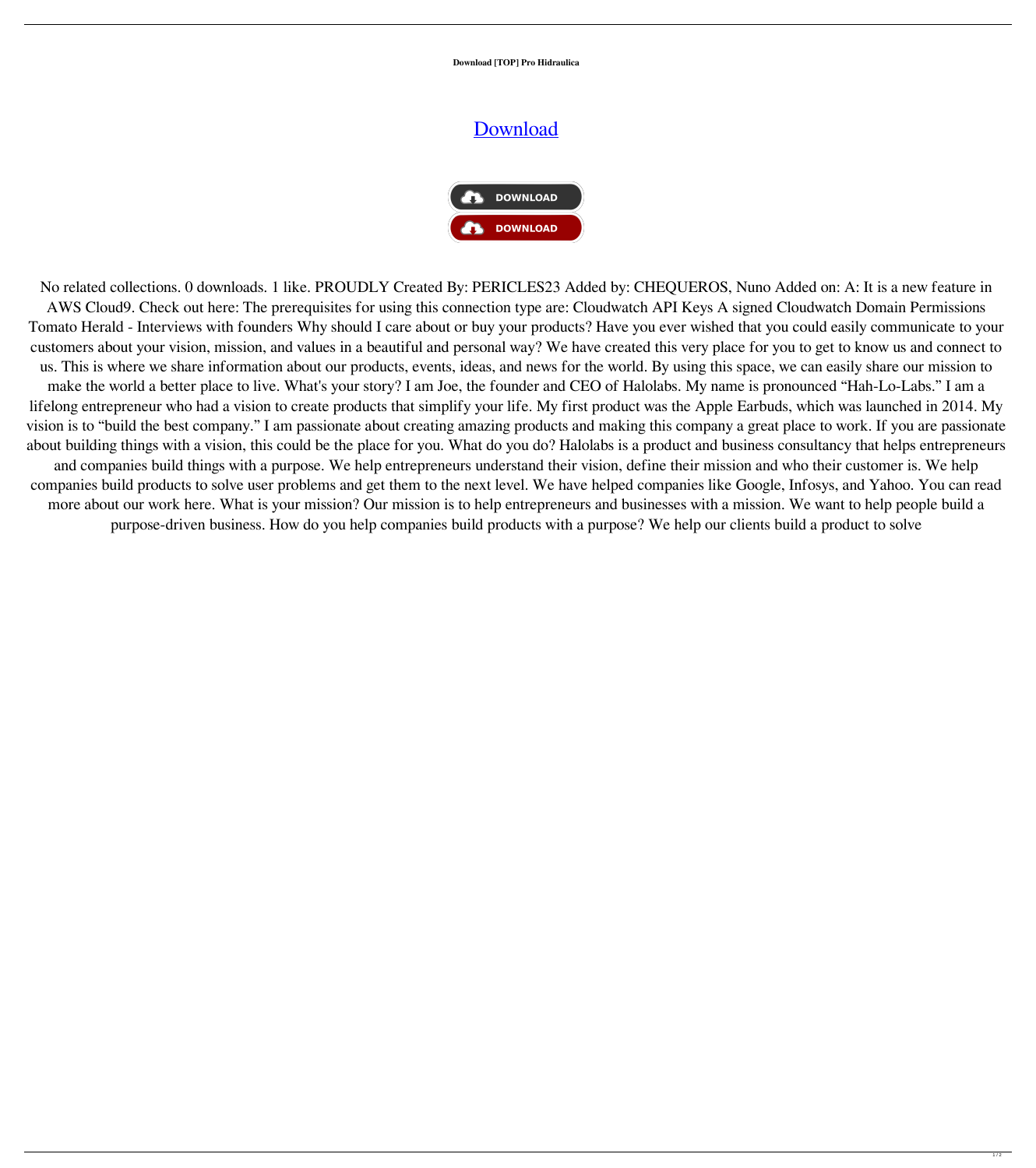**Download [TOP] Pro Hidraulica**

## **[Download](https://urloso.com/2l0ncj)**



No related collections. 0 downloads. 1 like. PROUDLY Created By: PERICLES23 Added by: CHEQUEROS, Nuno Added on: A: It is a new feature in AWS Cloud9. Check out here: The prerequisites for using this connection type are: Cloudwatch API Keys A signed Cloudwatch Domain Permissions Tomato Herald - Interviews with founders Why should I care about or buy your products? Have you ever wished that you could easily communicate to your customers about your vision, mission, and values in a beautiful and personal way? We have created this very place for you to get to know us and connect to us. This is where we share information about our products, events, ideas, and news for the world. By using this space, we can easily share our mission to make the world a better place to live. What's your story? I am Joe, the founder and CEO of Halolabs. My name is pronounced "Hah-Lo-Labs." I am a lifelong entrepreneur who had a vision to create products that simplify your life. My first product was the Apple Earbuds, which was launched in 2014. My vision is to "build the best company." I am passionate about creating amazing products and making this company a great place to work. If you are passionate about building things with a vision, this could be the place for you. What do you do? Halolabs is a product and business consultancy that helps entrepreneurs and companies build things with a purpose. We help entrepreneurs understand their vision, define their mission and who their customer is. We help companies build products to solve user problems and get them to the next level. We have helped companies like Google, Infosys, and Yahoo. You can read more about our work here. What is your mission? Our mission is to help entrepreneurs and businesses with a mission. We want to help people build a

purpose-driven business. How do you help companies build products with a purpose? We help our clients build a product to solve